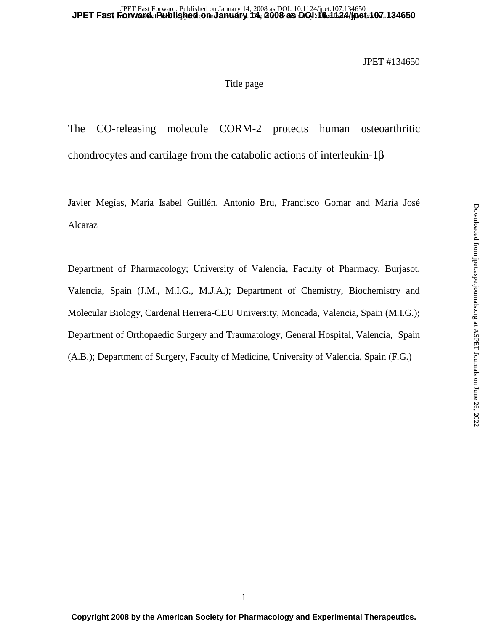## Title page

The CO-releasing molecule CORM-2 protects human osteoarthritic chondrocytes and cartilage from the catabolic actions of interleukin-1β

Javier Megías, María Isabel Guillén, Antonio Bru, Francisco Gomar and María José Alcaraz

Department of Pharmacology; University of Valencia, Faculty of Pharmacy, Burjasot, Valencia, Spain (J.M., M.I.G., M.J.A.); Department of Chemistry, Biochemistry and Molecular Biology, Cardenal Herrera-CEU University, Moncada, Valencia, Spain (M.I.G.); Department of Orthopaedic Surgery and Traumatology, General Hospital, Valencia, Spain (A.B.); Department of Surgery, Faculty of Medicine, University of Valencia, Spain (F.G.)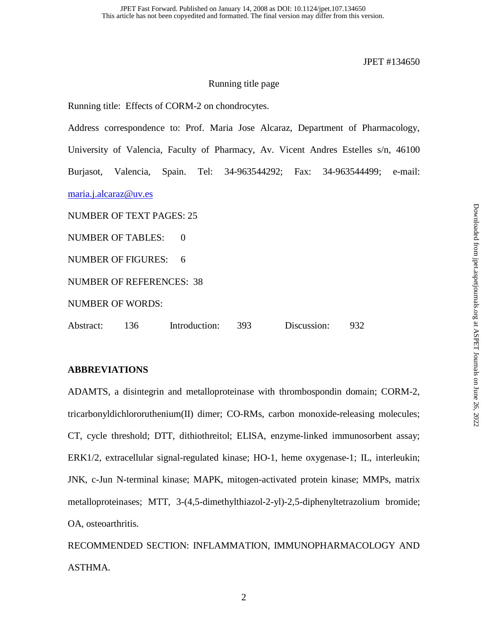## Running title page

Running title: Effects of CORM-2 on chondrocytes.

Address correspondence to: Prof. Maria Jose Alcaraz, Department of Pharmacology, University of Valencia, Faculty of Pharmacy, Av. Vicent Andres Estelles s/n, 46100 Burjasot, Valencia, Spain. Tel: 34-963544292; Fax: 34-963544499; e-mail: maria.j.alcaraz@uv.es NUMBER OF TEXT PAGES: 25 NUMBER OF TABLES: 0 NUMBER OF FIGURES: 6 NUMBER OF REFERENCES: 38 NUMBER OF WORDS:

Abstract: 136 Introduction: 393 Discussion: 932

## **ABBREVIATIONS**

ADAMTS, a disintegrin and metalloproteinase with thrombospondin domain; CORM-2, tricarbonyldichlororuthenium(II) dimer; CO-RMs, carbon monoxide-releasing molecules; CT, cycle threshold; DTT, dithiothreitol; ELISA, enzyme-linked immunosorbent assay; ERK1/2, extracellular signal-regulated kinase; HO-1, heme oxygenase-1; IL, interleukin; JNK, c-Jun N-terminal kinase; MAPK, mitogen-activated protein kinase; MMPs, matrix metalloproteinases; MTT, 3-(4,5-dimethylthiazol-2-yl)-2,5-diphenyltetrazolium bromide; OA, osteoarthritis.

RECOMMENDED SECTION: INFLAMMATION, IMMUNOPHARMACOLOGY AND ASTHMA.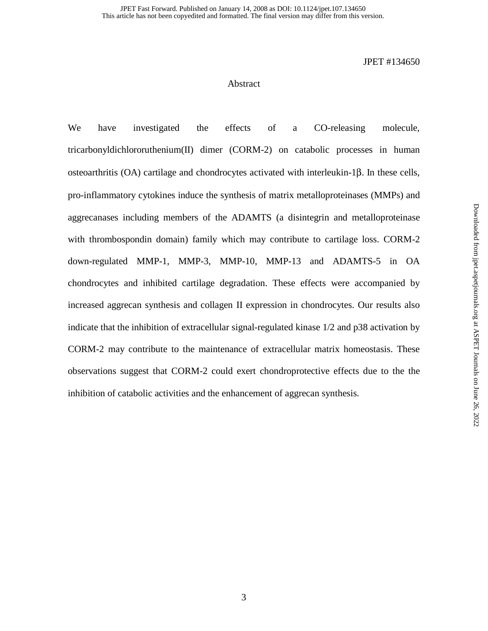## Abstract

We have investigated the effects of a CO-releasing molecule, tricarbonyldichlororuthenium(II) dimer (CORM-2) on catabolic processes in human osteoarthritis (OA) cartilage and chondrocytes activated with interleukin-1β. In these cells, pro-inflammatory cytokines induce the synthesis of matrix metalloproteinases (MMPs) and aggrecanases including members of the ADAMTS (a disintegrin and metalloproteinase with thrombospondin domain) family which may contribute to cartilage loss. CORM-2 down-regulated MMP-1, MMP-3, MMP-10, MMP-13 and ADAMTS-5 in OA chondrocytes and inhibited cartilage degradation. These effects were accompanied by increased aggrecan synthesis and collagen II expression in chondrocytes. Our results also indicate that the inhibition of extracellular signal-regulated kinase 1/2 and p38 activation by CORM-2 may contribute to the maintenance of extracellular matrix homeostasis. These observations suggest that CORM-2 could exert chondroprotective effects due to the the inhibition of catabolic activities and the enhancement of aggrecan synthesis.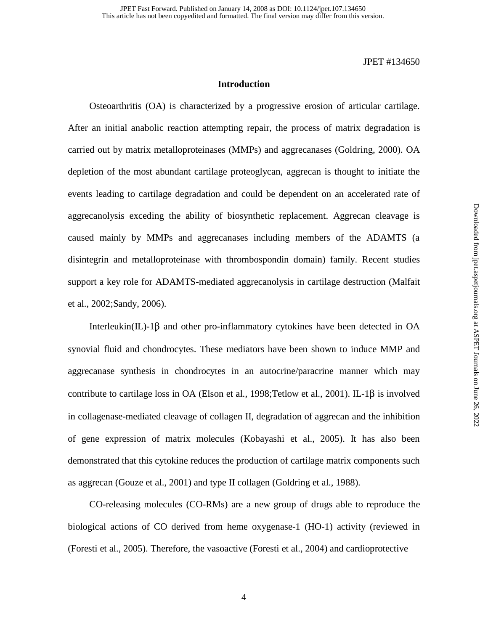## **Introduction**

 Osteoarthritis (OA) is characterized by a progressive erosion of articular cartilage. After an initial anabolic reaction attempting repair, the process of matrix degradation is carried out by matrix metalloproteinases (MMPs) and aggrecanases (Goldring, 2000). OA depletion of the most abundant cartilage proteoglycan, aggrecan is thought to initiate the events leading to cartilage degradation and could be dependent on an accelerated rate of aggrecanolysis exceding the ability of biosynthetic replacement. Aggrecan cleavage is caused mainly by MMPs and aggrecanases including members of the ADAMTS (a disintegrin and metalloproteinase with thrombospondin domain) family. Recent studies support a key role for ADAMTS-mediated aggrecanolysis in cartilage destruction (Malfait et al., 2002;Sandy, 2006).

Interleukin(IL)-1 $\beta$  and other pro-inflammatory cytokines have been detected in OA synovial fluid and chondrocytes. These mediators have been shown to induce MMP and aggrecanase synthesis in chondrocytes in an autocrine/paracrine manner which may contribute to cartilage loss in OA (Elson et al., 1998;Tetlow et al., 2001). IL-1β is involved in collagenase-mediated cleavage of collagen II, degradation of aggrecan and the inhibition of gene expression of matrix molecules (Kobayashi et al., 2005). It has also been demonstrated that this cytokine reduces the production of cartilage matrix components such as aggrecan (Gouze et al., 2001) and type II collagen (Goldring et al., 1988).

 CO-releasing molecules (CO-RMs) are a new group of drugs able to reproduce the biological actions of CO derived from heme oxygenase-1 (HO-1) activity (reviewed in (Foresti et al., 2005). Therefore, the vasoactive (Foresti et al., 2004) and cardioprotective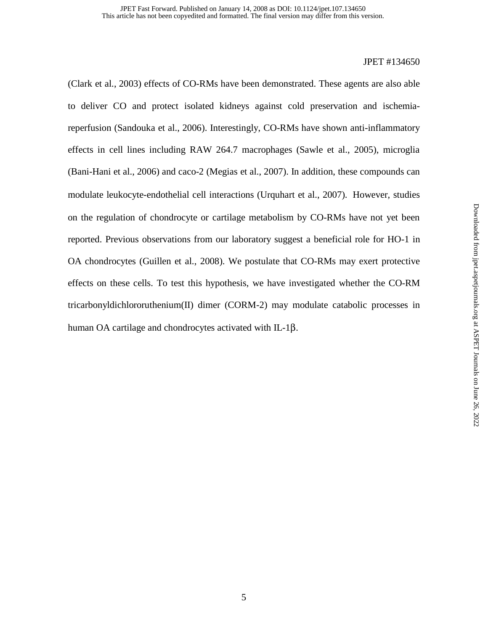(Clark et al., 2003) effects of CO-RMs have been demonstrated. These agents are also able to deliver CO and protect isolated kidneys against cold preservation and ischemiareperfusion (Sandouka et al., 2006). Interestingly, CO-RMs have shown anti-inflammatory effects in cell lines including RAW 264.7 macrophages (Sawle et al., 2005), microglia (Bani-Hani et al., 2006) and caco-2 (Megias et al., 2007). In addition, these compounds can modulate leukocyte-endothelial cell interactions (Urquhart et al., 2007). However, studies on the regulation of chondrocyte or cartilage metabolism by CO-RMs have not yet been reported. Previous observations from our laboratory suggest a beneficial role for HO-1 in OA chondrocytes (Guillen et al., 2008). We postulate that CO-RMs may exert protective effects on these cells. To test this hypothesis, we have investigated whether the CO-RM tricarbonyldichlororuthenium(II) dimer (CORM-2) may modulate catabolic processes in human OA cartilage and chondrocytes activated with IL-1β.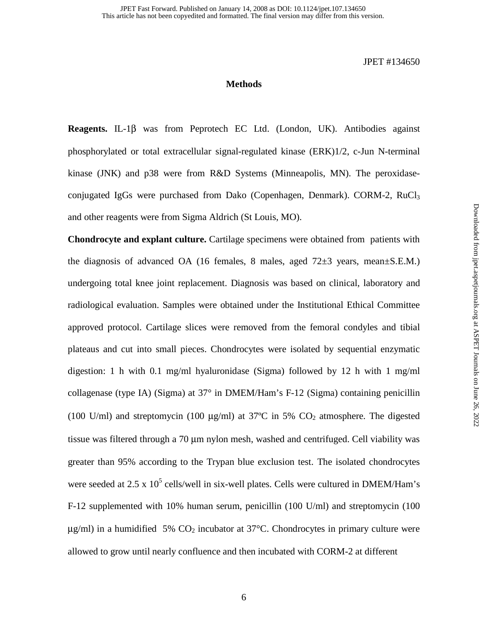## **Methods**

**Reagents.** IL-1β was from Peprotech EC Ltd. (London, UK). Antibodies against phosphorylated or total extracellular signal-regulated kinase (ERK)1/2, c-Jun N-terminal kinase (JNK) and p38 were from R&D Systems (Minneapolis, MN). The peroxidaseconjugated IgGs were purchased from Dako (Copenhagen, Denmark). CORM-2,  $RuCl<sub>3</sub>$ and other reagents were from Sigma Aldrich (St Louis, MO).

**Chondrocyte and explant culture.** Cartilage specimens were obtained from patients with the diagnosis of advanced OA (16 females, 8 males, aged 72±3 years, mean±S.E.M.) undergoing total knee joint replacement. Diagnosis was based on clinical, laboratory and radiological evaluation. Samples were obtained under the Institutional Ethical Committee approved protocol. Cartilage slices were removed from the femoral condyles and tibial plateaus and cut into small pieces. Chondrocytes were isolated by sequential enzymatic digestion: 1 h with 0.1 mg/ml hyaluronidase (Sigma) followed by 12 h with 1 mg/ml collagenase (type IA) (Sigma) at 37° in DMEM/Ham's F-12 (Sigma) containing penicillin (100 U/ml) and streptomycin (100  $\mu$ g/ml) at 37°C in 5% CO<sub>2</sub> atmosphere. The digested tissue was filtered through a 70 µm nylon mesh, washed and centrifuged. Cell viability was greater than 95% according to the Trypan blue exclusion test. The isolated chondrocytes were seeded at 2.5 x  $10^5$  cells/well in six-well plates. Cells were cultured in DMEM/Ham's F-12 supplemented with 10% human serum, penicillin (100 U/ml) and streptomycin (100  $\mu$ g/ml) in a humidified 5% CO<sub>2</sub> incubator at 37°C. Chondrocytes in primary culture were allowed to grow until nearly confluence and then incubated with CORM-2 at different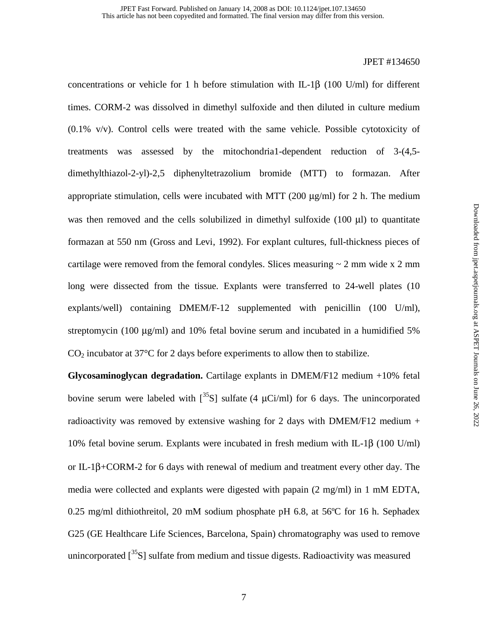concentrations or vehicle for 1 h before stimulation with IL-1β (100 U/ml) for different times. CORM-2 was dissolved in dimethyl sulfoxide and then diluted in culture medium (0.1% v/v). Control cells were treated with the same vehicle. Possible cytotoxicity of treatments was assessed by the mitochondria1-dependent reduction of 3-(4,5 dimethylthiazol-2-yl)-2,5 diphenyltetrazolium bromide (MTT) to formazan. After appropriate stimulation, cells were incubated with MTT  $(200 \mu g/ml)$  for 2 h. The medium was then removed and the cells solubilized in dimethyl sulfoxide (100 µl) to quantitate formazan at 550 nm (Gross and Levi, 1992). For explant cultures, full-thickness pieces of cartilage were removed from the femoral condyles. Slices measuring  $\sim 2$  mm wide x 2 mm long were dissected from the tissue. Explants were transferred to 24-well plates (10 explants/well) containing DMEM/F-12 supplemented with penicillin (100 U/ml), streptomycin (100  $\mu$ g/ml) and 10% fetal bovine serum and incubated in a humidified 5%  $CO<sub>2</sub>$  incubator at 37 $\degree$ C for 2 days before experiments to allow then to stabilize.

**Glycosaminoglycan degradation.** Cartilage explants in DMEM/F12 medium +10% fetal bovine serum were labeled with  $\left[\frac{35}{5}\right]$  sulfate (4 µCi/ml) for 6 days. The unincorporated radioactivity was removed by extensive washing for 2 days with DMEM/F12 medium  $+$ 10% fetal bovine serum. Explants were incubated in fresh medium with IL-1β (100 U/ml) or IL-1β+CORM-2 for 6 days with renewal of medium and treatment every other day. The media were collected and explants were digested with papain (2 mg/ml) in 1 mM EDTA, 0.25 mg/ml dithiothreitol, 20 mM sodium phosphate pH 6.8, at 56ºC for 16 h. Sephadex G25 (GE Healthcare Life Sciences, Barcelona, Spain) chromatography was used to remove unincorporated  $\binom{35}{5}$  sulfate from medium and tissue digests. Radioactivity was measured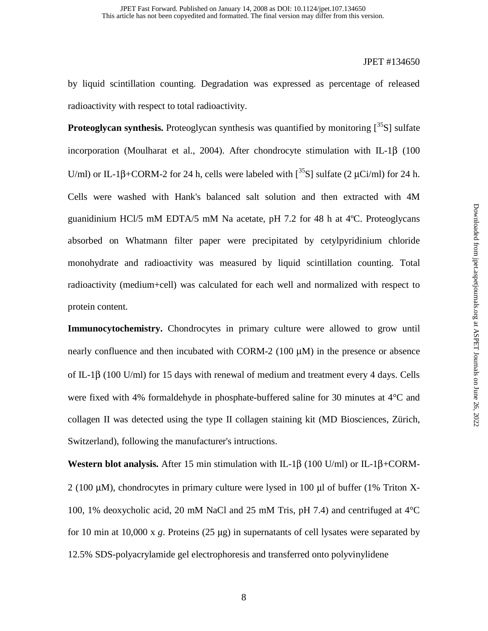by liquid scintillation counting. Degradation was expressed as percentage of released radioactivity with respect to total radioactivity.

**Proteoglycan synthesis.** Proteoglycan synthesis was quantified by monitoring [<sup>35</sup>S] sulfate incorporation (Moulharat et al., 2004). After chondrocyte stimulation with IL-1β (100 U/ml) or IL-1β+CORM-2 for 24 h, cells were labeled with  $\binom{35}{5}$  sulfate (2 µCi/ml) for 24 h. Cells were washed with Hank's balanced salt solution and then extracted with 4M guanidinium HCl/5 mM EDTA/5 mM Na acetate, pH 7.2 for 48 h at 4ºC. Proteoglycans absorbed on Whatmann filter paper were precipitated by cetylpyridinium chloride monohydrate and radioactivity was measured by liquid scintillation counting. Total radioactivity (medium+cell) was calculated for each well and normalized with respect to protein content.

**Immunocytochemistry.** Chondrocytes in primary culture were allowed to grow until nearly confluence and then incubated with CORM-2 (100 µM) in the presence or absence of IL-1β (100 U/ml) for 15 days with renewal of medium and treatment every 4 days. Cells were fixed with 4% formaldehyde in phosphate-buffered saline for 30 minutes at 4°C and collagen II was detected using the type II collagen staining kit (MD Biosciences, Zürich, Switzerland), following the manufacturer's intructions.

**Western blot analysis.** After 15 min stimulation with IL-1β (100 U/ml) or IL-1β+CORM-2 (100 µM), chondrocytes in primary culture were lysed in 100 µl of buffer (1% Triton X-100, 1% deoxycholic acid, 20 mM NaCl and 25 mM Tris, pH 7.4) and centrifuged at 4°C for 10 min at 10,000 x *g*. Proteins (25 µg) in supernatants of cell lysates were separated by 12.5% SDS-polyacrylamide gel electrophoresis and transferred onto polyvinylidene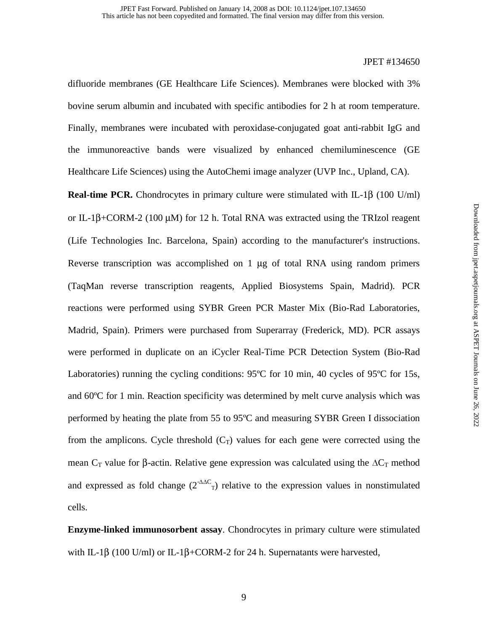difluoride membranes (GE Healthcare Life Sciences). Membranes were blocked with 3% bovine serum albumin and incubated with specific antibodies for 2 h at room temperature. Finally, membranes were incubated with peroxidase-conjugated goat anti-rabbit IgG and the immunoreactive bands were visualized by enhanced chemiluminescence (GE Healthcare Life Sciences) using the AutoChemi image analyzer (UVP Inc., Upland, CA).

**Real-time PCR.** Chondrocytes in primary culture were stimulated with IL-1β (100 U/ml) or IL-1β+CORM-2 (100 µM) for 12 h. Total RNA was extracted using the TRIzol reagent (Life Technologies Inc. Barcelona, Spain) according to the manufacturer's instructions. Reverse transcription was accomplished on 1  $\mu$ g of total RNA using random primers (TaqMan reverse transcription reagents, Applied Biosystems Spain, Madrid). PCR reactions were performed using SYBR Green PCR Master Mix (Bio-Rad Laboratories, Madrid, Spain). Primers were purchased from Superarray (Frederick, MD). PCR assays were performed in duplicate on an iCycler Real-Time PCR Detection System (Bio-Rad Laboratories) running the cycling conditions: 95°C for 10 min, 40 cycles of 95°C for 15s, and 60ºC for 1 min. Reaction specificity was determined by melt curve analysis which was performed by heating the plate from 55 to 95ºC and measuring SYBR Green I dissociation from the amplicons. Cycle threshold  $(C_T)$  values for each gene were corrected using the mean C<sub>T</sub> value for β-actin. Relative gene expression was calculated using the  $\Delta C_T$  method and expressed as fold change  $(2^{-\Delta\Delta C})$  relative to the expression values in nonstimulated cells.

**Enzyme-linked immunosorbent assay**. Chondrocytes in primary culture were stimulated with IL-1 $\beta$  (100 U/ml) or IL-1 $\beta$ +CORM-2 for 24 h. Supernatants were harvested,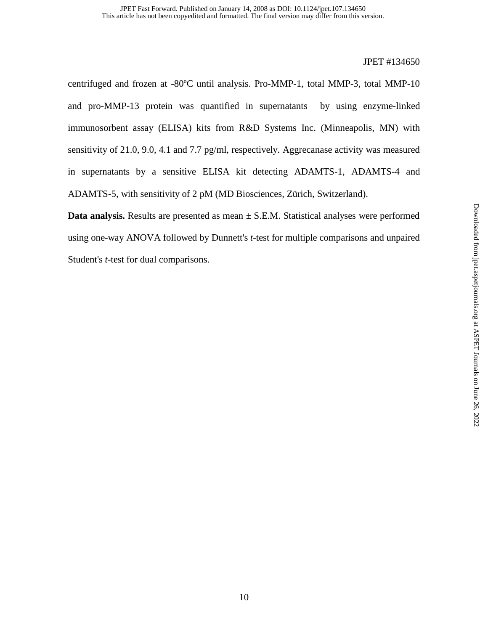centrifuged and frozen at -80ºC until analysis. Pro-MMP-1, total MMP-3, total MMP-10 and pro-MMP-13 protein was quantified in supernatants by using enzyme-linked immunosorbent assay (ELISA) kits from R&D Systems Inc. (Minneapolis, MN) with sensitivity of 21.0, 9.0, 4.1 and 7.7 pg/ml, respectively. Aggrecanase activity was measured in supernatants by a sensitive ELISA kit detecting ADAMTS-1, ADAMTS-4 and ADAMTS-5, with sensitivity of 2 pM (MD Biosciences, Zürich, Switzerland).

**Data analysis.** Results are presented as mean  $\pm$  S.E.M. Statistical analyses were performed using one-way ANOVA followed by Dunnett's *t*-test for multiple comparisons and unpaired Student's *t*-test for dual comparisons.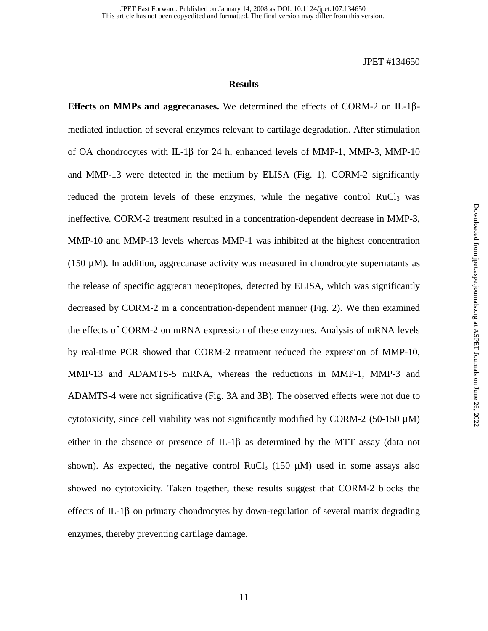## **Results**

**Effects on MMPs and aggrecanases.** We determined the effects of CORM-2 on IL-1βmediated induction of several enzymes relevant to cartilage degradation. After stimulation of OA chondrocytes with IL-1β for 24 h, enhanced levels of MMP-1, MMP-3, MMP-10 and MMP-13 were detected in the medium by ELISA (Fig. 1). CORM-2 significantly reduced the protein levels of these enzymes, while the negative control  $RuCl<sub>3</sub>$  was ineffective. CORM-2 treatment resulted in a concentration-dependent decrease in MMP-3, MMP-10 and MMP-13 levels whereas MMP-1 was inhibited at the highest concentration (150  $\mu$ M). In addition, aggrecanase activity was measured in chondrocyte supernatants as the release of specific aggrecan neoepitopes, detected by ELISA, which was significantly decreased by CORM-2 in a concentration-dependent manner (Fig. 2). We then examined the effects of CORM-2 on mRNA expression of these enzymes. Analysis of mRNA levels by real-time PCR showed that CORM-2 treatment reduced the expression of MMP-10, MMP-13 and ADAMTS-5 mRNA, whereas the reductions in MMP-1, MMP-3 and ADAMTS-4 were not significative (Fig. 3A and 3B). The observed effects were not due to cytotoxicity, since cell viability was not significantly modified by CORM-2 (50-150  $\mu$ M) either in the absence or presence of  $IL-1\beta$  as determined by the MTT assay (data not shown). As expected, the negative control RuCl<sub>3</sub> (150  $\mu$ M) used in some assays also showed no cytotoxicity. Taken together, these results suggest that CORM-2 blocks the effects of IL-1β on primary chondrocytes by down-regulation of several matrix degrading enzymes, thereby preventing cartilage damage.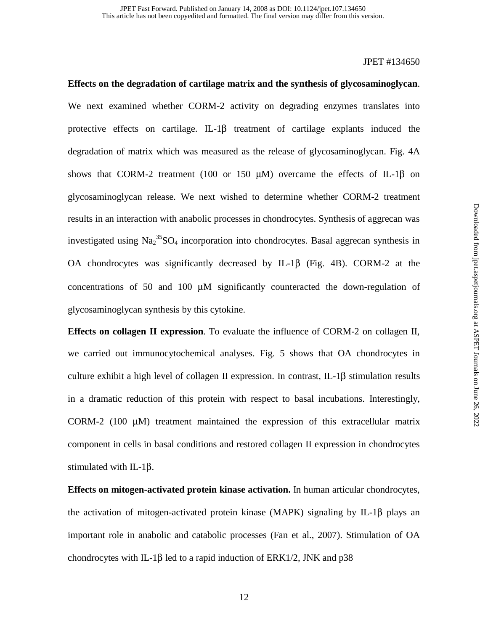**Effects on the degradation of cartilage matrix and the synthesis of glycosaminoglycan**. We next examined whether CORM-2 activity on degrading enzymes translates into protective effects on cartilage. IL-1 $\beta$  treatment of cartilage explants induced the degradation of matrix which was measured as the release of glycosaminoglycan. Fig. 4A shows that CORM-2 treatment (100 or 150  $\mu$ M) overcame the effects of IL-1 $\beta$  on glycosaminoglycan release. We next wished to determine whether CORM-2 treatment results in an interaction with anabolic processes in chondrocytes. Synthesis of aggrecan was investigated using  $\text{Na}_2^{\,35}\text{SO}_4$  incorporation into chondrocytes. Basal aggrecan synthesis in OA chondrocytes was significantly decreased by IL-1β (Fig. 4B). CORM-2 at the concentrations of 50 and 100 µM significantly counteracted the down-regulation of glycosaminoglycan synthesis by this cytokine.

**Effects on collagen II expression**. To evaluate the influence of CORM-2 on collagen II, we carried out immunocytochemical analyses. Fig. 5 shows that OA chondrocytes in culture exhibit a high level of collagen II expression. In contrast, IL-1β stimulation results in a dramatic reduction of this protein with respect to basal incubations. Interestingly, CORM-2 (100  $\mu$ M) treatment maintained the expression of this extracellular matrix component in cells in basal conditions and restored collagen II expression in chondrocytes stimulated with IL-1β.

**Effects on mitogen-activated protein kinase activation.** In human articular chondrocytes, the activation of mitogen-activated protein kinase (MAPK) signaling by IL-1β plays an important role in anabolic and catabolic processes (Fan et al., 2007). Stimulation of OA chondrocytes with IL-1 $\beta$  led to a rapid induction of ERK1/2, JNK and p38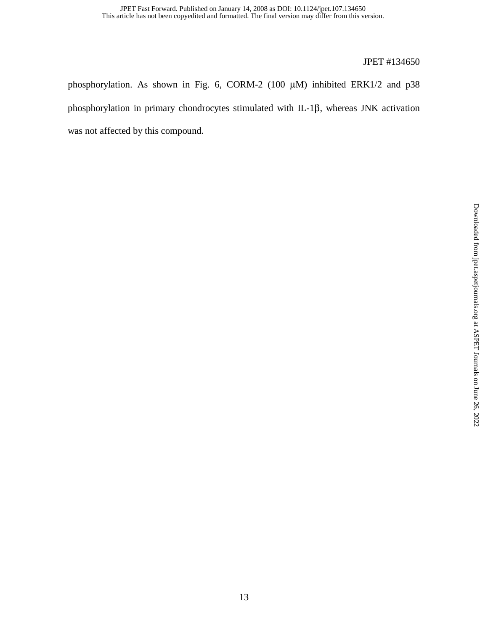phosphorylation. As shown in Fig. 6, CORM-2 (100 µM) inhibited ERK1/2 and p38 phosphorylation in primary chondrocytes stimulated with IL-1β, whereas JNK activation was not affected by this compound.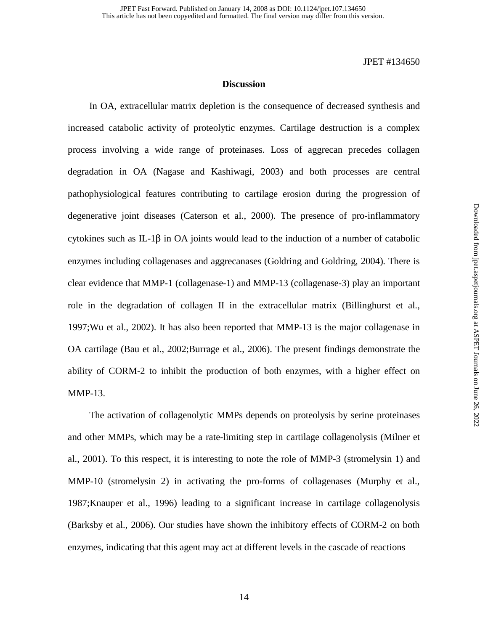## **Discussion**

 In OA, extracellular matrix depletion is the consequence of decreased synthesis and increased catabolic activity of proteolytic enzymes. Cartilage destruction is a complex process involving a wide range of proteinases. Loss of aggrecan precedes collagen degradation in OA (Nagase and Kashiwagi, 2003) and both processes are central pathophysiological features contributing to cartilage erosion during the progression of degenerative joint diseases (Caterson et al., 2000). The presence of pro-inflammatory cytokines such as IL-1 $\beta$  in OA joints would lead to the induction of a number of catabolic enzymes including collagenases and aggrecanases (Goldring and Goldring, 2004). There is clear evidence that MMP-1 (collagenase-1) and MMP-13 (collagenase-3) play an important role in the degradation of collagen II in the extracellular matrix (Billinghurst et al., 1997;Wu et al., 2002). It has also been reported that MMP-13 is the major collagenase in OA cartilage (Bau et al., 2002;Burrage et al., 2006). The present findings demonstrate the ability of CORM-2 to inhibit the production of both enzymes, with a higher effect on MMP-13.

 The activation of collagenolytic MMPs depends on proteolysis by serine proteinases and other MMPs, which may be a rate-limiting step in cartilage collagenolysis (Milner et al., 2001). To this respect, it is interesting to note the role of MMP-3 (stromelysin 1) and MMP-10 (stromelysin 2) in activating the pro-forms of collagenases (Murphy et al., 1987;Knauper et al., 1996) leading to a significant increase in cartilage collagenolysis (Barksby et al., 2006). Our studies have shown the inhibitory effects of CORM-2 on both enzymes, indicating that this agent may act at different levels in the cascade of reactions

14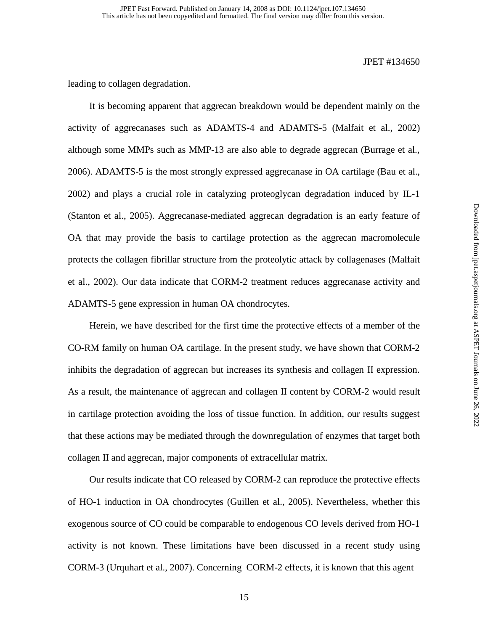leading to collagen degradation.

 It is becoming apparent that aggrecan breakdown would be dependent mainly on the activity of aggrecanases such as ADAMTS-4 and ADAMTS-5 (Malfait et al., 2002) although some MMPs such as MMP-13 are also able to degrade aggrecan (Burrage et al., 2006). ADAMTS-5 is the most strongly expressed aggrecanase in OA cartilage (Bau et al., 2002) and plays a crucial role in catalyzing proteoglycan degradation induced by IL-1 (Stanton et al., 2005). Aggrecanase-mediated aggrecan degradation is an early feature of OA that may provide the basis to cartilage protection as the aggrecan macromolecule protects the collagen fibrillar structure from the proteolytic attack by collagenases (Malfait et al., 2002). Our data indicate that CORM-2 treatment reduces aggrecanase activity and ADAMTS-5 gene expression in human OA chondrocytes.

 Herein, we have described for the first time the protective effects of a member of the CO-RM family on human OA cartilage. In the present study, we have shown that CORM-2 inhibits the degradation of aggrecan but increases its synthesis and collagen II expression. As a result, the maintenance of aggrecan and collagen II content by CORM-2 would result in cartilage protection avoiding the loss of tissue function. In addition, our results suggest that these actions may be mediated through the downregulation of enzymes that target both collagen II and aggrecan, major components of extracellular matrix.

 Our results indicate that CO released by CORM-2 can reproduce the protective effects of HO-1 induction in OA chondrocytes (Guillen et al., 2005). Nevertheless, whether this exogenous source of CO could be comparable to endogenous CO levels derived from HO-1 activity is not known. These limitations have been discussed in a recent study using CORM-3 (Urquhart et al., 2007). Concerning CORM-2 effects, it is known that this agent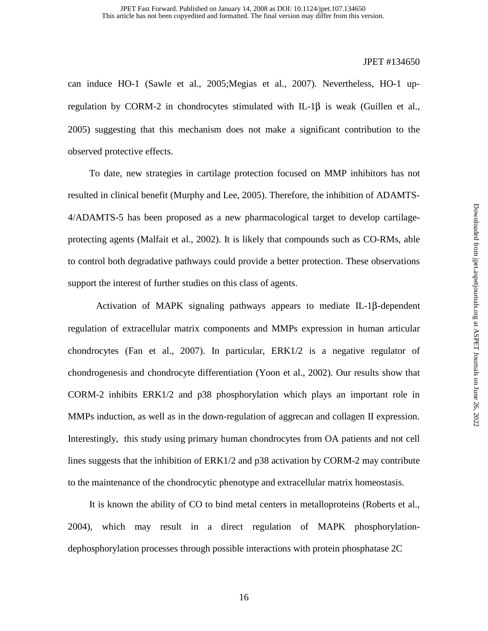can induce HO-1 (Sawle et al., 2005;Megias et al., 2007). Nevertheless, HO-1 upregulation by CORM-2 in chondrocytes stimulated with IL-1 $\beta$  is weak (Guillen et al., 2005) suggesting that this mechanism does not make a significant contribution to the observed protective effects.

 To date, new strategies in cartilage protection focused on MMP inhibitors has not resulted in clinical benefit (Murphy and Lee, 2005). Therefore, the inhibition of ADAMTS-4/ADAMTS-5 has been proposed as a new pharmacological target to develop cartilageprotecting agents (Malfait et al., 2002). It is likely that compounds such as CO-RMs, able to control both degradative pathways could provide a better protection. These observations support the interest of further studies on this class of agents.

 Activation of MAPK signaling pathways appears to mediate IL-1β-dependent regulation of extracellular matrix components and MMPs expression in human articular chondrocytes (Fan et al., 2007). In particular, ERK1/2 is a negative regulator of chondrogenesis and chondrocyte differentiation (Yoon et al., 2002). Our results show that CORM-2 inhibits ERK1/2 and p38 phosphorylation which plays an important role in MMPs induction, as well as in the down-regulation of aggrecan and collagen II expression. Interestingly, this study using primary human chondrocytes from OA patients and not cell lines suggests that the inhibition of ERK1/2 and p38 activation by CORM-2 may contribute to the maintenance of the chondrocytic phenotype and extracellular matrix homeostasis.

 It is known the ability of CO to bind metal centers in metalloproteins (Roberts et al., 2004), which may result in a direct regulation of MAPK phosphorylationdephosphorylation processes through possible interactions with protein phosphatase 2C

16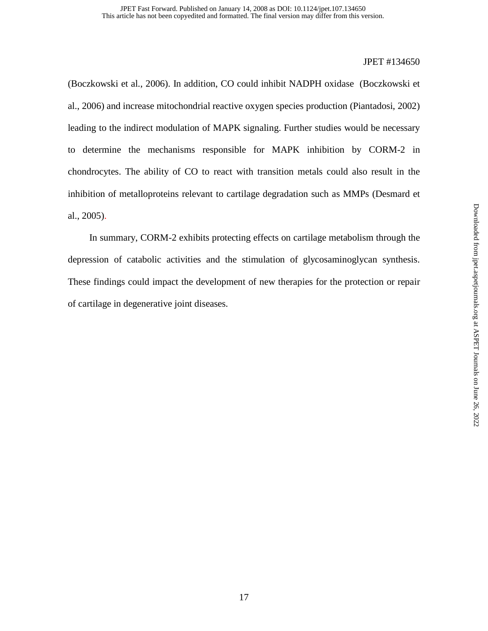(Boczkowski et al., 2006). In addition, CO could inhibit NADPH oxidase (Boczkowski et al., 2006) and increase mitochondrial reactive oxygen species production (Piantadosi, 2002) leading to the indirect modulation of MAPK signaling. Further studies would be necessary to determine the mechanisms responsible for MAPK inhibition by CORM-2 in chondrocytes. The ability of CO to react with transition metals could also result in the inhibition of metalloproteins relevant to cartilage degradation such as MMPs (Desmard et al., 2005).

 In summary, CORM-2 exhibits protecting effects on cartilage metabolism through the depression of catabolic activities and the stimulation of glycosaminoglycan synthesis. These findings could impact the development of new therapies for the protection or repair of cartilage in degenerative joint diseases.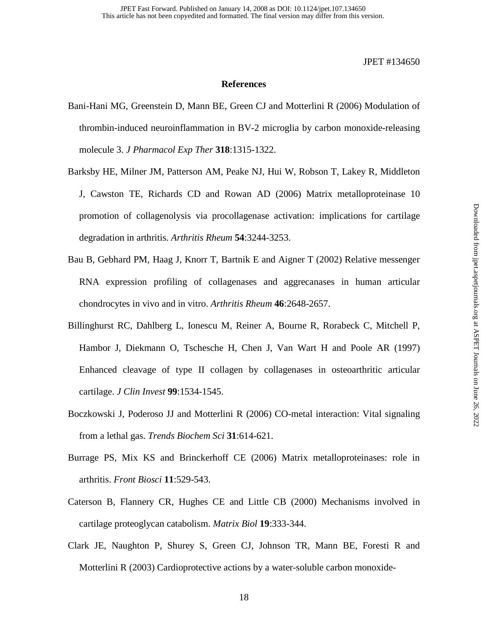## **References**

- Bani-Hani MG, Greenstein D, Mann BE, Green CJ and Motterlini R (2006) Modulation of thrombin-induced neuroinflammation in BV-2 microglia by carbon monoxide-releasing molecule 3. *J Pharmacol Exp Ther* **318**:1315-1322.
- Barksby HE, Milner JM, Patterson AM, Peake NJ, Hui W, Robson T, Lakey R, Middleton J, Cawston TE, Richards CD and Rowan AD (2006) Matrix metalloproteinase 10 promotion of collagenolysis via procollagenase activation: implications for cartilage degradation in arthritis. *Arthritis Rheum* **54**:3244-3253.
- Bau B, Gebhard PM, Haag J, Knorr T, Bartnik E and Aigner T (2002) Relative messenger RNA expression profiling of collagenases and aggrecanases in human articular chondrocytes in vivo and in vitro. *Arthritis Rheum* **46**:2648-2657.
- Billinghurst RC, Dahlberg L, Ionescu M, Reiner A, Bourne R, Rorabeck C, Mitchell P, Hambor J, Diekmann O, Tschesche H, Chen J, Van Wart H and Poole AR (1997) Enhanced cleavage of type II collagen by collagenases in osteoarthritic articular cartilage. *J Clin Invest* **99**:1534-1545.
- Boczkowski J, Poderoso JJ and Motterlini R (2006) CO-metal interaction: Vital signaling from a lethal gas. *Trends Biochem Sci* **31**:614-621.
- Burrage PS, Mix KS and Brinckerhoff CE (2006) Matrix metalloproteinases: role in arthritis. *Front Biosci* **11**:529-543.
- Caterson B, Flannery CR, Hughes CE and Little CB (2000) Mechanisms involved in cartilage proteoglycan catabolism. *Matrix Biol* **19**:333-344.
- Clark JE, Naughton P, Shurey S, Green CJ, Johnson TR, Mann BE, Foresti R and Motterlini R (2003) Cardioprotective actions by a water-soluble carbon monoxide-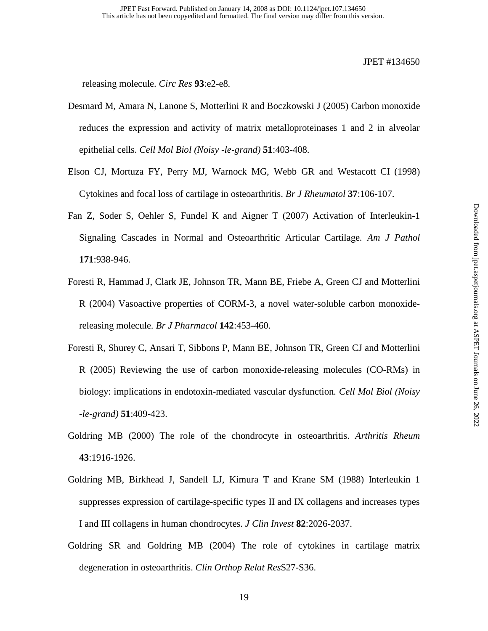releasing molecule. *Circ Res* **93**:e2-e8.

- Desmard M, Amara N, Lanone S, Motterlini R and Boczkowski J (2005) Carbon monoxide reduces the expression and activity of matrix metalloproteinases 1 and 2 in alveolar epithelial cells. *Cell Mol Biol (Noisy -le-grand)* **51**:403-408.
- Elson CJ, Mortuza FY, Perry MJ, Warnock MG, Webb GR and Westacott CI (1998) Cytokines and focal loss of cartilage in osteoarthritis. *Br J Rheumatol* **37**:106-107.
- Fan Z, Soder S, Oehler S, Fundel K and Aigner T (2007) Activation of Interleukin-1 Signaling Cascades in Normal and Osteoarthritic Articular Cartilage. *Am J Pathol* **171**:938-946.
- Foresti R, Hammad J, Clark JE, Johnson TR, Mann BE, Friebe A, Green CJ and Motterlini R (2004) Vasoactive properties of CORM-3, a novel water-soluble carbon monoxidereleasing molecule. *Br J Pharmacol* **142**:453-460.
- Foresti R, Shurey C, Ansari T, Sibbons P, Mann BE, Johnson TR, Green CJ and Motterlini R (2005) Reviewing the use of carbon monoxide-releasing molecules (CO-RMs) in biology: implications in endotoxin-mediated vascular dysfunction. *Cell Mol Biol (Noisy -le-grand)* **51**:409-423.
- Goldring MB (2000) The role of the chondrocyte in osteoarthritis. *Arthritis Rheum* **43**:1916-1926.
- Goldring MB, Birkhead J, Sandell LJ, Kimura T and Krane SM (1988) Interleukin 1 suppresses expression of cartilage-specific types II and IX collagens and increases types I and III collagens in human chondrocytes. *J Clin Invest* **82**:2026-2037.
- Goldring SR and Goldring MB (2004) The role of cytokines in cartilage matrix degeneration in osteoarthritis. *Clin Orthop Relat Res*S27-S36.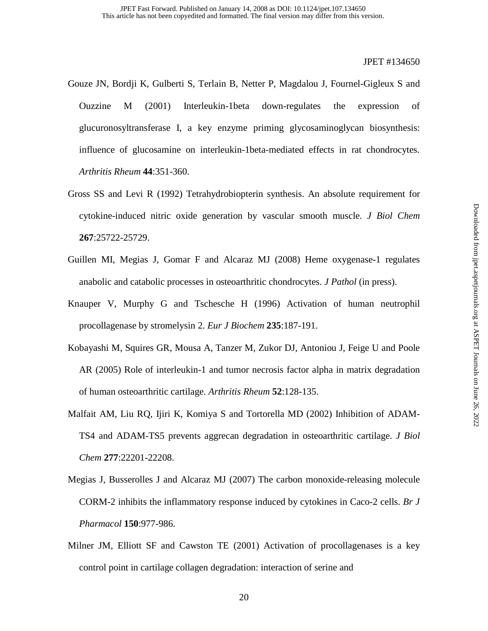- Gouze JN, Bordji K, Gulberti S, Terlain B, Netter P, Magdalou J, Fournel-Gigleux S and Ouzzine M (2001) Interleukin-1beta down-regulates the expression of glucuronosyltransferase I, a key enzyme priming glycosaminoglycan biosynthesis: influence of glucosamine on interleukin-1beta-mediated effects in rat chondrocytes. *Arthritis Rheum* **44**:351-360.
- Gross SS and Levi R (1992) Tetrahydrobiopterin synthesis. An absolute requirement for cytokine-induced nitric oxide generation by vascular smooth muscle. *J Biol Chem* **267**:25722-25729.
- Guillen MI, Megias J, Gomar F and Alcaraz MJ (2008) Heme oxygenase-1 regulates anabolic and catabolic processes in osteoarthritic chondrocytes. *J Pathol* (in press).
- Knauper V, Murphy G and Tschesche H (1996) Activation of human neutrophil procollagenase by stromelysin 2. *Eur J Biochem* **235**:187-191.
- Kobayashi M, Squires GR, Mousa A, Tanzer M, Zukor DJ, Antoniou J, Feige U and Poole AR (2005) Role of interleukin-1 and tumor necrosis factor alpha in matrix degradation of human osteoarthritic cartilage. *Arthritis Rheum* **52**:128-135.
- Malfait AM, Liu RQ, Ijiri K, Komiya S and Tortorella MD (2002) Inhibition of ADAM-TS4 and ADAM-TS5 prevents aggrecan degradation in osteoarthritic cartilage. *J Biol Chem* **277**:22201-22208.
- Megias J, Busserolles J and Alcaraz MJ (2007) The carbon monoxide-releasing molecule CORM-2 inhibits the inflammatory response induced by cytokines in Caco-2 cells. *Br J Pharmacol* **150**:977-986.
- Milner JM, Elliott SF and Cawston TE (2001) Activation of procollagenases is a key control point in cartilage collagen degradation: interaction of serine and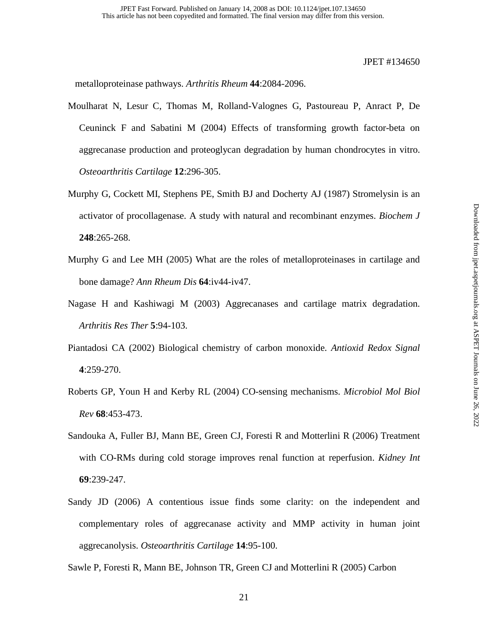metalloproteinase pathways. *Arthritis Rheum* **44**:2084-2096.

- Moulharat N, Lesur C, Thomas M, Rolland-Valognes G, Pastoureau P, Anract P, De Ceuninck F and Sabatini M (2004) Effects of transforming growth factor-beta on aggrecanase production and proteoglycan degradation by human chondrocytes in vitro. *Osteoarthritis Cartilage* **12**:296-305.
- Murphy G, Cockett MI, Stephens PE, Smith BJ and Docherty AJ (1987) Stromelysin is an activator of procollagenase. A study with natural and recombinant enzymes. *Biochem J* **248**:265-268.
- Murphy G and Lee MH (2005) What are the roles of metalloproteinases in cartilage and bone damage? *Ann Rheum Dis* **64**:iv44-iv47.
- Nagase H and Kashiwagi M (2003) Aggrecanases and cartilage matrix degradation. *Arthritis Res Ther* **5**:94-103.
- Piantadosi CA (2002) Biological chemistry of carbon monoxide. *Antioxid Redox Signal* **4**:259-270.
- Roberts GP, Youn H and Kerby RL (2004) CO-sensing mechanisms. *Microbiol Mol Biol Rev* **68**:453-473.
- Sandouka A, Fuller BJ, Mann BE, Green CJ, Foresti R and Motterlini R (2006) Treatment with CO-RMs during cold storage improves renal function at reperfusion. *Kidney Int* **69**:239-247.
- Sandy JD (2006) A contentious issue finds some clarity: on the independent and complementary roles of aggrecanase activity and MMP activity in human joint aggrecanolysis. *Osteoarthritis Cartilage* **14**:95-100.

Sawle P, Foresti R, Mann BE, Johnson TR, Green CJ and Motterlini R (2005) Carbon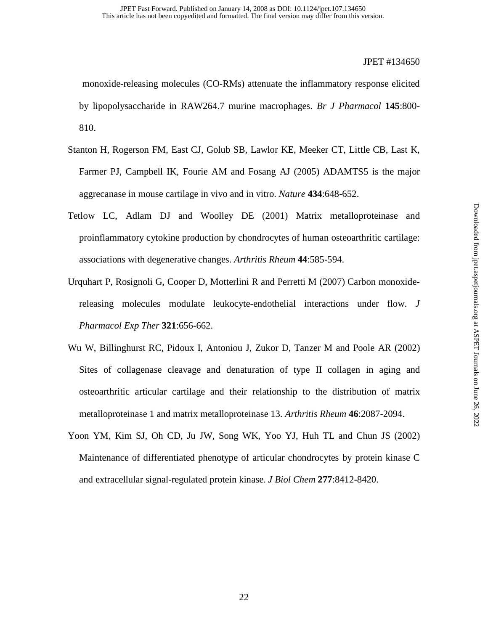monoxide-releasing molecules (CO-RMs) attenuate the inflammatory response elicited by lipopolysaccharide in RAW264.7 murine macrophages. *Br J Pharmacol* **145**:800- 810.

- Stanton H, Rogerson FM, East CJ, Golub SB, Lawlor KE, Meeker CT, Little CB, Last K, Farmer PJ, Campbell IK, Fourie AM and Fosang AJ (2005) ADAMTS5 is the major aggrecanase in mouse cartilage in vivo and in vitro. *Nature* **434**:648-652.
- Tetlow LC, Adlam DJ and Woolley DE (2001) Matrix metalloproteinase and proinflammatory cytokine production by chondrocytes of human osteoarthritic cartilage: associations with degenerative changes. *Arthritis Rheum* **44**:585-594.
- Urquhart P, Rosignoli G, Cooper D, Motterlini R and Perretti M (2007) Carbon monoxidereleasing molecules modulate leukocyte-endothelial interactions under flow. *J Pharmacol Exp Ther* **321**:656-662.
- Wu W, Billinghurst RC, Pidoux I, Antoniou J, Zukor D, Tanzer M and Poole AR (2002) Sites of collagenase cleavage and denaturation of type II collagen in aging and osteoarthritic articular cartilage and their relationship to the distribution of matrix metalloproteinase 1 and matrix metalloproteinase 13. *Arthritis Rheum* **46**:2087-2094.
- Yoon YM, Kim SJ, Oh CD, Ju JW, Song WK, Yoo YJ, Huh TL and Chun JS (2002) Maintenance of differentiated phenotype of articular chondrocytes by protein kinase C and extracellular signal-regulated protein kinase. *J Biol Chem* **277**:8412-8420.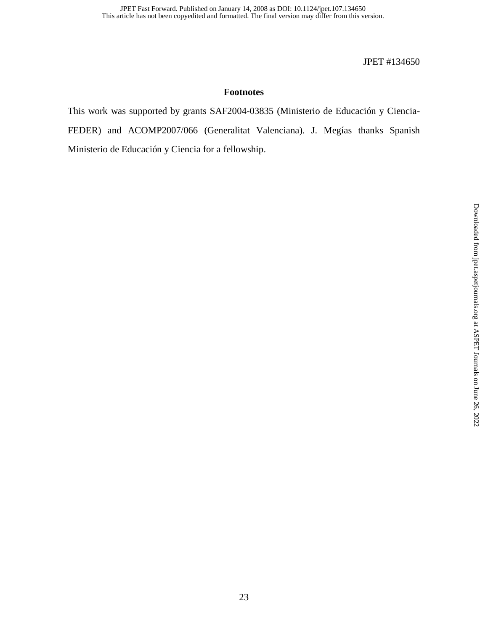# **Footnotes**

This work was supported by grants SAF2004-03835 (Ministerio de Educación y Ciencia-FEDER) and ACOMP2007/066 (Generalitat Valenciana). J. Megías thanks Spanish Ministerio de Educación y Ciencia for a fellowship.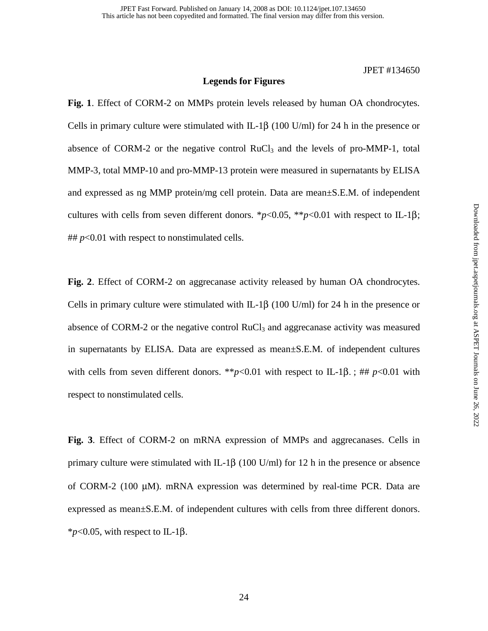## **Legends for Figures**

**Fig. 1**. Effect of CORM-2 on MMPs protein levels released by human OA chondrocytes. Cells in primary culture were stimulated with IL-1 $\beta$  (100 U/ml) for 24 h in the presence or absence of CORM-2 or the negative control  $RuCl<sub>3</sub>$  and the levels of pro-MMP-1, total MMP-3, total MMP-10 and pro-MMP-13 protein were measured in supernatants by ELISA and expressed as ng MMP protein/mg cell protein. Data are mean±S.E.M. of independent cultures with cells from seven different donors.  $*_{p<0.05}$ ,  $*_{p<0.01}$  with respect to IL-1 $\beta$ ;  $\#H$  *p*<0.01 with respect to nonstimulated cells.

**Fig. 2**. Effect of CORM-2 on aggrecanase activity released by human OA chondrocytes. Cells in primary culture were stimulated with IL-1 $\beta$  (100 U/ml) for 24 h in the presence or absence of CORM-2 or the negative control  $RuCl<sub>3</sub>$  and aggreeanase activity was measured in supernatants by ELISA. Data are expressed as mean±S.E.M. of independent cultures with cells from seven different donors. \*\* $p$ <0.01 with respect to IL-1 $\beta$ .; ##  $p$ <0.01 with respect to nonstimulated cells.

**Fig. 3**. Effect of CORM-2 on mRNA expression of MMPs and aggrecanases. Cells in primary culture were stimulated with IL-1 $\beta$  (100 U/ml) for 12 h in the presence or absence of CORM-2 (100 µM). mRNA expression was determined by real-time PCR. Data are expressed as mean±S.E.M. of independent cultures with cells from three different donors.  $*_{p<0.05}$ , with respect to IL-1 $\beta$ .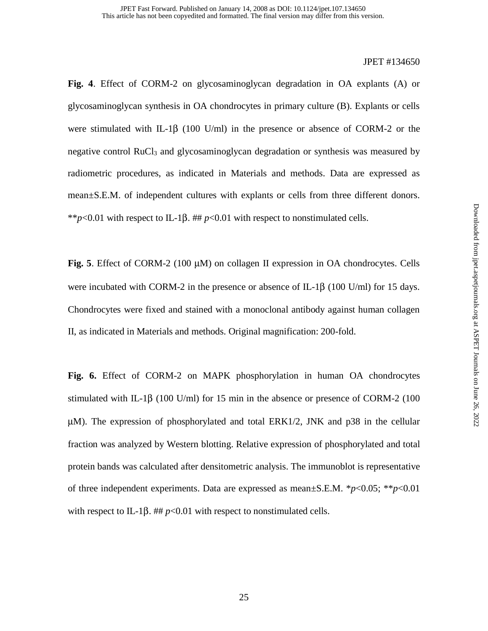**Fig. 4**. Effect of CORM-2 on glycosaminoglycan degradation in OA explants (A) or glycosaminoglycan synthesis in OA chondrocytes in primary culture (B). Explants or cells were stimulated with IL-1 $\beta$  (100 U/ml) in the presence or absence of CORM-2 or the negative control RuCl<sub>3</sub> and glycosaminoglycan degradation or synthesis was measured by radiometric procedures, as indicated in Materials and methods. Data are expressed as mean±S.E.M. of independent cultures with explants or cells from three different donors. \*\**p*<0.01 with respect to IL-1 $\beta$ . ## *p*<0.01 with respect to nonstimulated cells.

**Fig. 5**. Effect of CORM-2 (100 µM) on collagen II expression in OA chondrocytes. Cells were incubated with CORM-2 in the presence or absence of IL-1β (100 U/ml) for 15 days. Chondrocytes were fixed and stained with a monoclonal antibody against human collagen II, as indicated in Materials and methods. Original magnification: 200-fold.

**Fig. 6.** Effect of CORM-2 on MAPK phosphorylation in human OA chondrocytes stimulated with IL-1 $\beta$  (100 U/ml) for 15 min in the absence or presence of CORM-2 (100  $\mu$ M). The expression of phosphorylated and total ERK1/2, JNK and p38 in the cellular fraction was analyzed by Western blotting. Relative expression of phosphorylated and total protein bands was calculated after densitometric analysis. The immunoblot is representative of three independent experiments. Data are expressed as mean±S.E.M. \**p*<0.05; \*\**p*<0.01 with respect to IL-1 $\beta$ . ##  $p<0.01$  with respect to nonstimulated cells.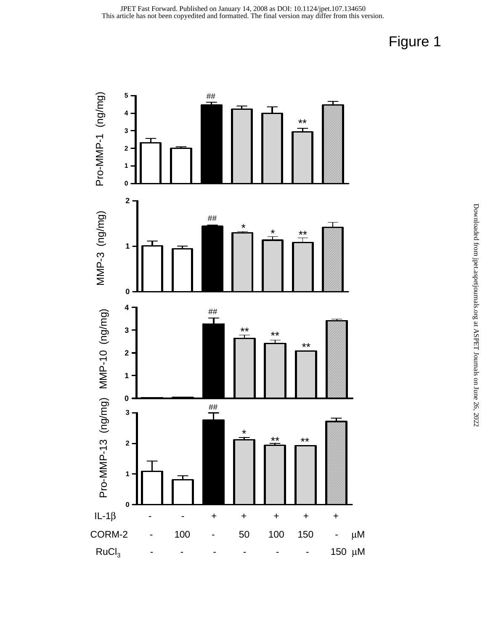

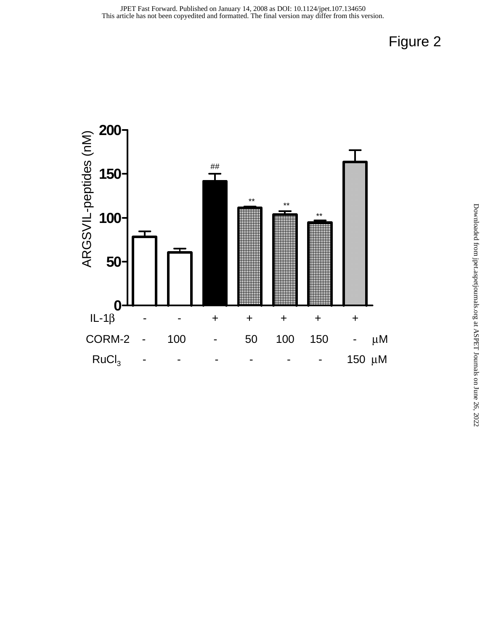

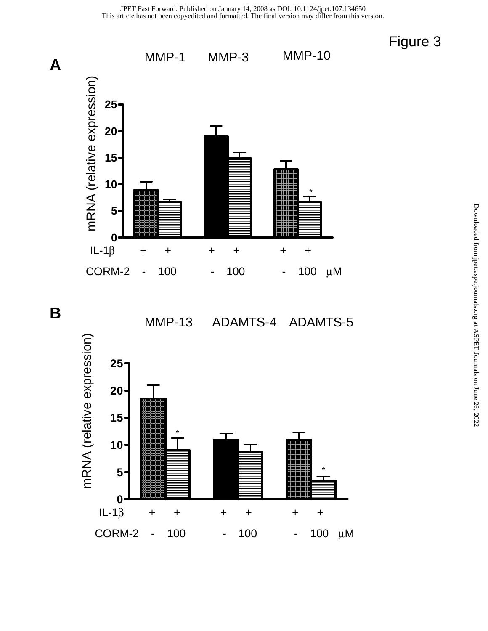







Figure 3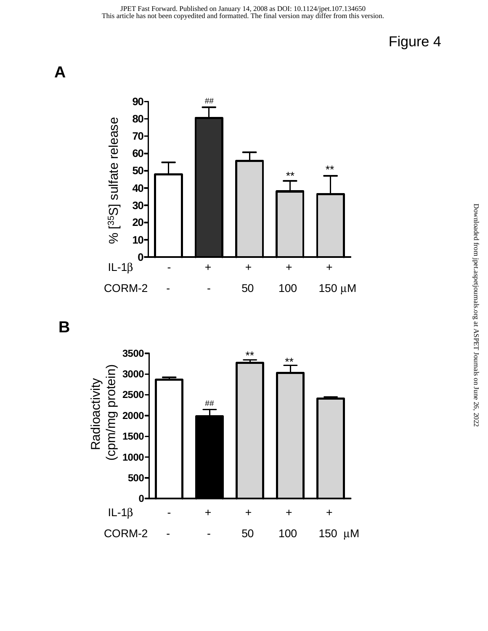



**B**

**A**

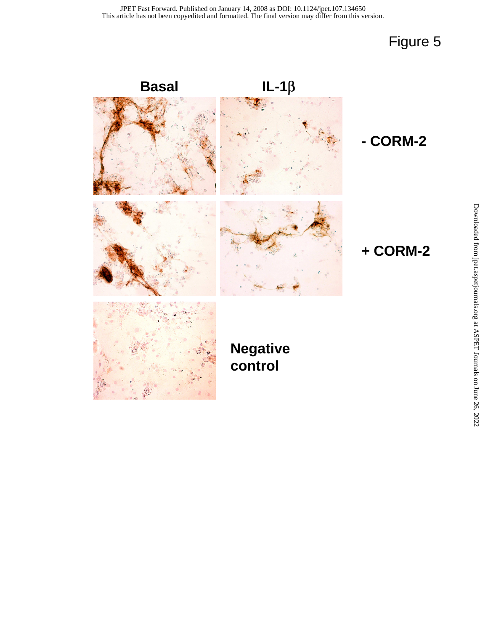# Figure 5